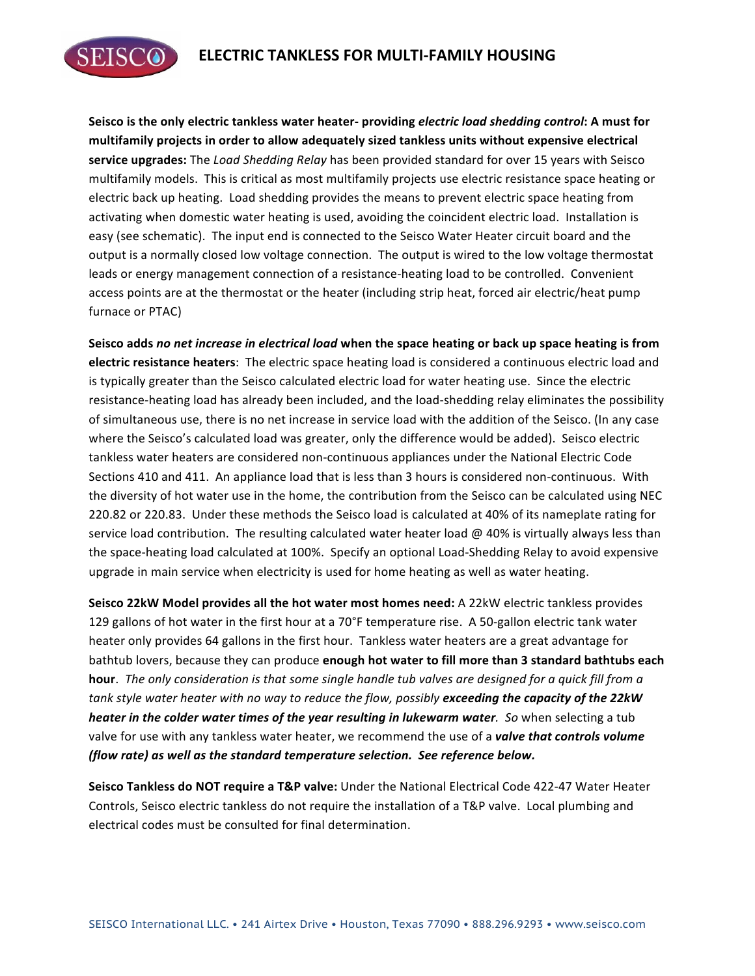

Seisco is the only electric tankless water heater- providing *electric load shedding control*: A must for **multifamily projects in order to allow adequately sized tankless units without expensive electrical service upgrades:** The *Load Shedding Relay* has been provided standard for over 15 years with Seisco multifamily models. This is critical as most multifamily projects use electric resistance space heating or electric back up heating. Load shedding provides the means to prevent electric space heating from activating when domestic water heating is used, avoiding the coincident electric load. Installation is easy (see schematic). The input end is connected to the Seisco Water Heater circuit board and the output is a normally closed low voltage connection. The output is wired to the low voltage thermostat leads or energy management connection of a resistance-heating load to be controlled. Convenient access points are at the thermostat or the heater (including strip heat, forced air electric/heat pump furnace or PTAC)

Seisco adds no net increase in electrical load when the space heating or back up space heating is from **electric resistance heaters**: The electric space heating load is considered a continuous electric load and is typically greater than the Seisco calculated electric load for water heating use. Since the electric resistance-heating load has already been included, and the load-shedding relay eliminates the possibility of simultaneous use, there is no net increase in service load with the addition of the Seisco. (In any case where the Seisco's calculated load was greater, only the difference would be added). Seisco electric tankless water heaters are considered non-continuous appliances under the National Electric Code Sections 410 and 411. An appliance load that is less than 3 hours is considered non-continuous. With the diversity of hot water use in the home, the contribution from the Seisco can be calculated using NEC 220.82 or 220.83. Under these methods the Seisco load is calculated at 40% of its nameplate rating for service load contribution. The resulting calculated water heater load  $@$  40% is virtually always less than the space-heating load calculated at 100%. Specify an optional Load-Shedding Relay to avoid expensive upgrade in main service when electricity is used for home heating as well as water heating.

**Seisco 22kW Model provides all the hot water most homes need:** A 22kW electric tankless provides 129 gallons of hot water in the first hour at a 70°F temperature rise. A 50-gallon electric tank water heater only provides 64 gallons in the first hour. Tankless water heaters are a great advantage for bathtub lovers, because they can produce **enough hot water to fill more than 3 standard bathtubs each hour**. The only consideration is that some single handle tub valves are designed for a quick fill from a tank style water heater with no way to reduce the flow, possibly exceeding the capacity of the 22kW *heater in the colder water times of the year resulting in lukewarm water. So when selecting a tub* valve for use with any tankless water heater, we recommend the use of a *valve that controls volume (flow rate) as well as the standard temperature selection. See reference below.*

Seisco Tankless do NOT require a T&P valve: Under the National Electrical Code 422-47 Water Heater Controls, Seisco electric tankless do not require the installation of a T&P valve. Local plumbing and electrical codes must be consulted for final determination.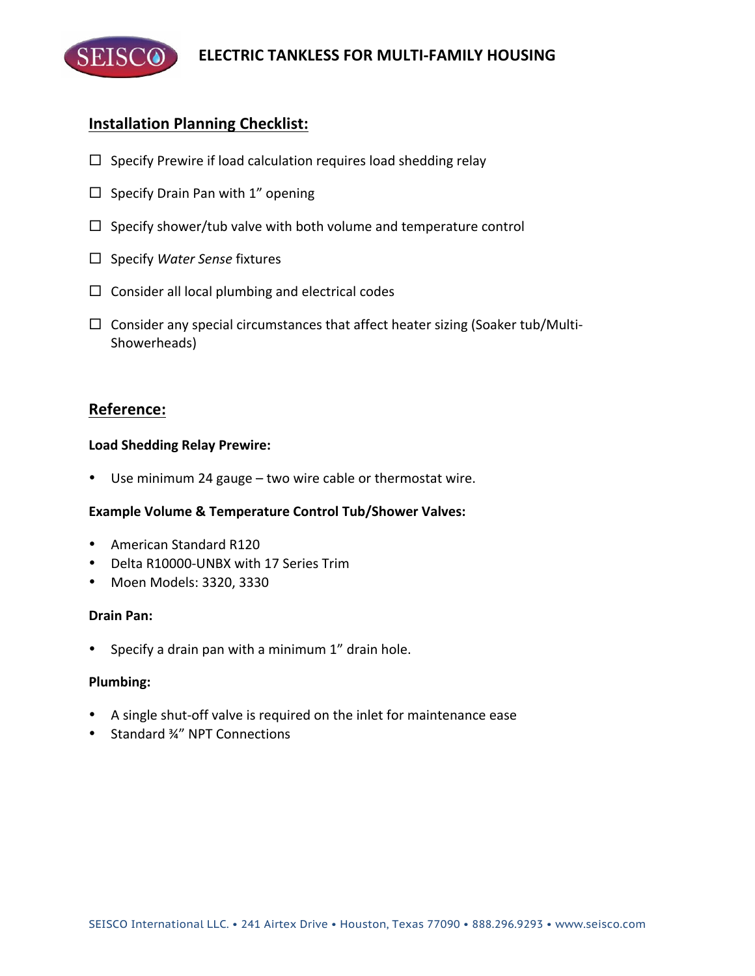

# **Installation Planning Checklist:**

- $\Box$  Specify Prewire if load calculation requires load shedding relay
- $\Box$  Specify Drain Pan with 1" opening
- $\Box$  Specify shower/tub valve with both volume and temperature control
- □ Specify *Water Sense* fixtures
- $\Box$  Consider all local plumbing and electrical codes
- $\Box$  Consider any special circumstances that affect heater sizing (Soaker tub/Multi-Showerheads)

## **Reference:**

### **Load Shedding Relay Prewire:**

• Use minimum 24 gauge  $-$  two wire cable or thermostat wire.

### **Example Volume & Temperature Control Tub/Shower Valves:**

- American Standard R120
- Delta R10000-UNBX with 17 Series Trim
- Moen Models: 3320, 3330

### **Drain Pan:**

• Specify a drain pan with a minimum  $1''$  drain hole.

### **Plumbing:**

- A single shut-off valve is required on the inlet for maintenance ease
- Standard 3⁄4" NPT Connections